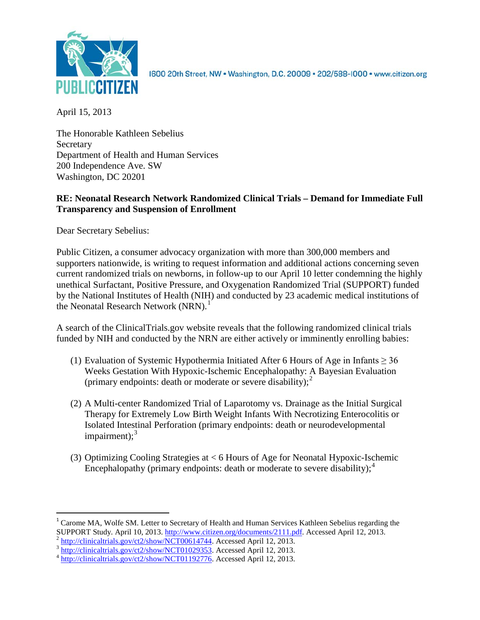

1600 20th Street, NW . Washington, D.C. 20009 . 202/588-1000 . www.citizen.org

April 15, 2013

The Honorable Kathleen Sebelius **Secretary** Department of Health and Human Services 200 Independence Ave. SW Washington, DC 20201

# **RE: Neonatal Research Network Randomized Clinical Trials – Demand for Immediate Full Transparency and Suspension of Enrollment**

Dear Secretary Sebelius:

Public Citizen, a consumer advocacy organization with more than 300,000 members and supporters nationwide, is writing to request information and additional actions concerning seven current randomized trials on newborns, in follow-up to our April 10 letter condemning the highly unethical Surfactant, Positive Pressure, and Oxygenation Randomized Trial (SUPPORT) funded by the National Institutes of Health (NIH) and conducted by 23 academic medical institutions of the Neonatal Research Network  $(NRN)^{1}$  $(NRN)^{1}$  $(NRN)^{1}$ 

A search of the ClinicalTrials.gov website reveals that the following randomized clinical trials funded by NIH and conducted by the NRN are either actively or imminently enrolling babies:

- (1) Evaluation of Systemic Hypothermia Initiated After 6 Hours of Age in Infants  $\geq$  36 Weeks Gestation With Hypoxic-Ischemic Encephalopathy: A Bayesian Evaluation (primary endpoints: death or moderate or severe disability);<sup>[2](#page-0-1)</sup>
- (2) A Multi-center Randomized Trial of Laparotomy vs. Drainage as the Initial Surgical Therapy for Extremely Low Birth Weight Infants With Necrotizing Enterocolitis or Isolated Intestinal Perforation (primary endpoints: death or neurodevelopmental impairment);<sup>[3](#page-0-2)</sup>
- (3) Optimizing Cooling Strategies at < 6 Hours of Age for Neonatal Hypoxic-Ischemic Encephalopathy (primary endpoints: death or moderate to severe disability);  $4\overline{ }$  $4\overline{ }$

<span id="page-0-0"></span><sup>&</sup>lt;sup>1</sup> Carome MA, Wolfe SM. Letter to Secretary of Health and Human Services Kathleen Sebelius regarding the SUPPORT Study. April 10, 2013.  $\frac{http://www.citizen.org/documents/2111.pdf}{http://www.citizen.org/documents/2111.pdf}$ . Accessed April 12, 2013.

<span id="page-0-1"></span> $^2$  [http://clinicaltrials.gov/ct2/show/NCT00614744.](http://clinicaltrials.gov/ct2/show/NCT00614744) Accessed April 12, 2013.<br> $^3$  [http://clinicaltrials.gov/ct2/show/NCT01029353.](http://clinicaltrials.gov/ct2/show/NCT01029353) Accessed April 12, 2013.<br> $^4$  [http://clinicaltrials.gov/ct2/show/NCT01192776.](http://clinicaltrials.gov/ct2/show/NCT01192776) Accessed Apr

<span id="page-0-3"></span><span id="page-0-2"></span>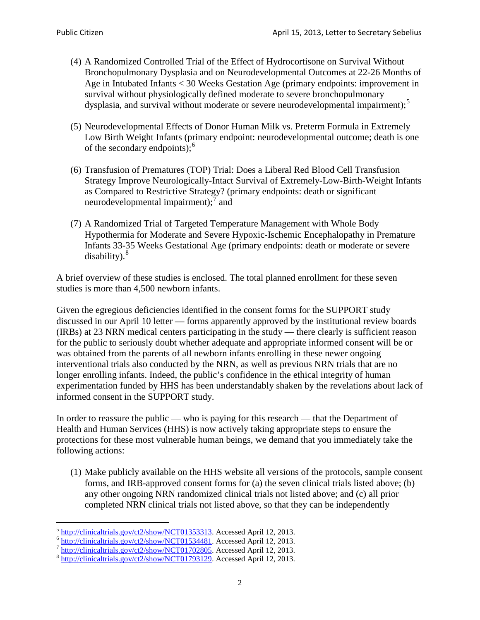- (4) A Randomized Controlled Trial of the Effect of Hydrocortisone on Survival Without Bronchopulmonary Dysplasia and on Neurodevelopmental Outcomes at 22-26 Months of Age in Intubated Infants < 30 Weeks Gestation Age (primary endpoints: improvement in survival without physiologically defined moderate to severe bronchopulmonary dysplasia, and survival without moderate or severe neurodevelopmental impairment);<sup>[5](#page-1-0)</sup>
- (5) Neurodevelopmental Effects of Donor Human Milk vs. Preterm Formula in Extremely Low Birth Weight Infants (primary endpoint: neurodevelopmental outcome; death is one of the secondary endpoints); $\frac{6}{5}$  $\frac{6}{5}$  $\frac{6}{5}$
- (6) Transfusion of Prematures (TOP) Trial: Does a Liberal Red Blood Cell Transfusion Strategy Improve Neurologically-Intact Survival of Extremely-Low-Birth-Weight Infants as Compared to Restrictive Strategy? (primary endpoints: death or significant neurodevelopmental impairment);<sup>[7](#page-1-2)</sup> and
- (7) A Randomized Trial of Targeted Temperature Management with Whole Body Hypothermia for Moderate and Severe Hypoxic-Ischemic Encephalopathy in Premature Infants 33-35 Weeks Gestational Age (primary endpoints: death or moderate or severe disability).<sup>[8](#page-1-3)</sup>

A brief overview of these studies is enclosed. The total planned enrollment for these seven studies is more than 4,500 newborn infants.

Given the egregious deficiencies identified in the consent forms for the SUPPORT study discussed in our April 10 letter — forms apparently approved by the institutional review boards (IRBs) at 23 NRN medical centers participating in the study — there clearly is sufficient reason for the public to seriously doubt whether adequate and appropriate informed consent will be or was obtained from the parents of all newborn infants enrolling in these newer ongoing interventional trials also conducted by the NRN, as well as previous NRN trials that are no longer enrolling infants. Indeed, the public's confidence in the ethical integrity of human experimentation funded by HHS has been understandably shaken by the revelations about lack of informed consent in the SUPPORT study.

In order to reassure the public — who is paying for this research — that the Department of Health and Human Services (HHS) is now actively taking appropriate steps to ensure the protections for these most vulnerable human beings, we demand that you immediately take the following actions:

(1) Make publicly available on the HHS website all versions of the protocols, sample consent forms, and IRB-approved consent forms for (a) the seven clinical trials listed above; (b) any other ongoing NRN randomized clinical trials not listed above; and (c) all prior completed NRN clinical trials not listed above, so that they can be independently

<span id="page-1-0"></span> $\begin{array}{l} \n\text{5} \\ \n\text{http://clinicaltrials.gov/ct2/show/NCT01353313}_{\n\end{array}$  Accessed April 12, 2013.<br>  $\begin{array}{l} \n\text{http://clinicaltrials.gov/ct2/show/NCT01534481}_{\n\end{array}$  Accessed April 12, 2013.<br>  $\begin{array}{l} \n\text{http://clinicaltrials.gov/ct2/show/NCT01702805}_{\n\end{array}$  Accessed April 12, 2

<span id="page-1-1"></span>

<span id="page-1-3"></span><span id="page-1-2"></span>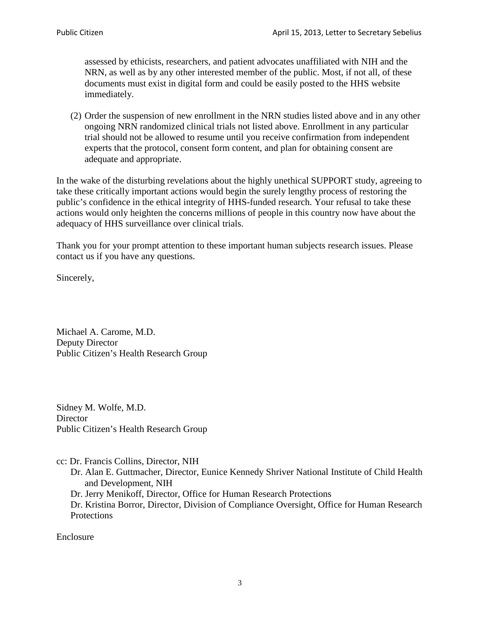assessed by ethicists, researchers, and patient advocates unaffiliated with NIH and the NRN, as well as by any other interested member of the public. Most, if not all, of these documents must exist in digital form and could be easily posted to the HHS website immediately.

(2) Order the suspension of new enrollment in the NRN studies listed above and in any other ongoing NRN randomized clinical trials not listed above. Enrollment in any particular trial should not be allowed to resume until you receive confirmation from independent experts that the protocol, consent form content, and plan for obtaining consent are adequate and appropriate.

In the wake of the disturbing revelations about the highly unethical SUPPORT study, agreeing to take these critically important actions would begin the surely lengthy process of restoring the public's confidence in the ethical integrity of HHS-funded research. Your refusal to take these actions would only heighten the concerns millions of people in this country now have about the adequacy of HHS surveillance over clinical trials.

Thank you for your prompt attention to these important human subjects research issues. Please contact us if you have any questions.

Sincerely,

Michael A. Carome, M.D. Deputy Director Public Citizen's Health Research Group

Sidney M. Wolfe, M.D. **Director** Public Citizen's Health Research Group

- cc: Dr. Francis Collins, Director, NIH
	- Dr. Alan E. Guttmacher, Director, Eunice Kennedy Shriver National Institute of Child Health and Development, NIH
	- Dr. Jerry Menikoff, Director, Office for Human Research Protections

Dr. Kristina Borror, Director, Division of Compliance Oversight, Office for Human Research **Protections** 

Enclosure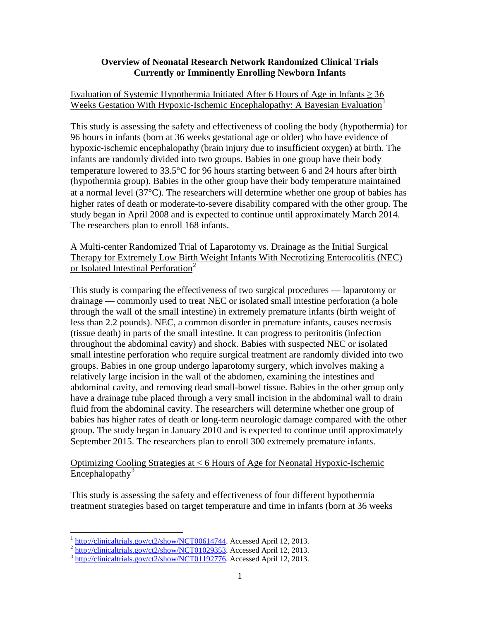### **Overview of Neonatal Research Network Randomized Clinical Trials Currently or Imminently Enrolling Newborn Infants**

### Evaluation of Systemic Hypothermia Initiated After 6 Hours of Age in Infants  $\geq$  36 Weeks Gestation With Hypoxic-Ischemic Encephalopathy: A Bayesian Evaluation<sup>[1](#page-3-0)</sup>

This study is assessing the safety and effectiveness of cooling the body (hypothermia) for 96 hours in infants (born at 36 weeks gestational age or older) who have evidence of hypoxic-ischemic encephalopathy (brain injury due to insufficient oxygen) at birth. The infants are randomly divided into two groups. Babies in one group have their body temperature lowered to 33.5°C for 96 hours starting between 6 and 24 hours after birth (hypothermia group). Babies in the other group have their body temperature maintained at a normal level (37°C). The researchers will determine whether one group of babies has higher rates of death or moderate-to-severe disability compared with the other group. The study began in April 2008 and is expected to continue until approximately March 2014. The researchers plan to enroll 168 infants.

### A Multi-center Randomized Trial of Laparotomy vs. Drainage as the Initial Surgical Therapy for Extremely Low Birth Weight Infants With Necrotizing Enterocolitis (NEC) or Isolated Intestinal Perforation<sup>[2](#page-3-1)</sup>

This study is comparing the effectiveness of two surgical procedures — laparotomy or drainage — commonly used to treat NEC or isolated small intestine perforation (a hole through the wall of the small intestine) in extremely premature infants (birth weight of less than 2.2 pounds). NEC, a common disorder in premature infants, causes necrosis (tissue death) in parts of the small intestine. It can progress to peritonitis (infection throughout the abdominal cavity) and shock. Babies with suspected NEC or isolated small intestine perforation who require surgical treatment are randomly divided into two groups. Babies in one group undergo laparotomy surgery, which involves making a relatively large incision in the wall of the abdomen, examining the intestines and abdominal cavity, and removing dead small-bowel tissue. Babies in the other group only have a drainage tube placed through a very small incision in the abdominal wall to drain fluid from the abdominal cavity. The researchers will determine whether one group of babies has higher rates of death or long-term neurologic damage compared with the other group. The study began in January 2010 and is expected to continue until approximately September 2015. The researchers plan to enroll 300 extremely premature infants.

## Optimizing Cooling Strategies at < 6 Hours of Age for Neonatal Hypoxic-Ischemic  $E$ ncephalopathy<sup>[3](#page-3-2)</sup>

This study is assessing the safety and effectiveness of four different hypothermia treatment strategies based on target temperature and time in infants (born at 36 weeks

<span id="page-3-1"></span><span id="page-3-0"></span> $\frac{1}{2} \frac{\text{http://clinical trials.gov/ct2/show/NCT00614744}}{\text{http://clinical trials.gov/ct2/show/NCT01029353}}$ . Accessed April 12, 2013. 3 [http://clinicaltrials.gov/ct2/show/NCT01192776.](http://clinicaltrials.gov/ct2/show/NCT01192776) Accessed April 12, 2013.

<span id="page-3-2"></span>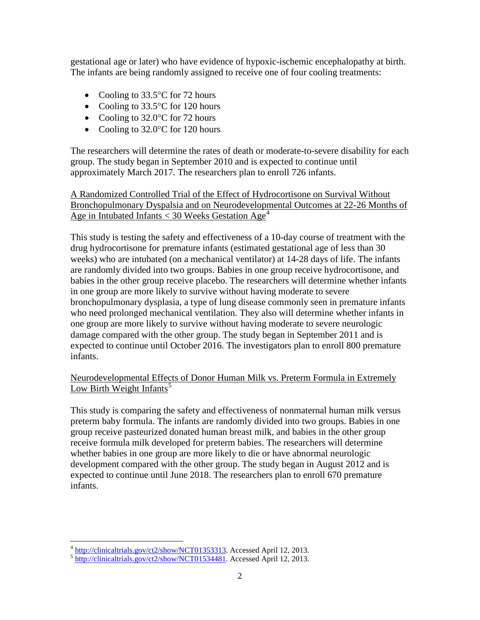gestational age or later) who have evidence of hypoxic-ischemic encephalopathy at birth. The infants are being randomly assigned to receive one of four cooling treatments:

- Cooling to 33.5 °C for 72 hours
- Cooling to 33.5°C for 120 hours
- Cooling to 32.0°C for 72 hours
- Cooling to 32.0°C for 120 hours

The researchers will determine the rates of death or moderate-to-severe disability for each group. The study began in September 2010 and is expected to continue until approximately March 2017. The researchers plan to enroll 726 infants.

A Randomized Controlled Trial of the Effect of Hydrocortisone on Survival Without Bronchopulmonary Dyspalsia and on Neurodevelopmental Outcomes at 22-26 Months of Age in Intubated Infants  $<$  30 Weeks Gestation Age<sup>[4](#page-4-0)</sup>

This study is testing the safety and effectiveness of a 10-day course of treatment with the drug hydrocortisone for premature infants (estimated gestational age of less than 30 weeks) who are intubated (on a mechanical ventilator) at 14-28 days of life. The infants are randomly divided into two groups. Babies in one group receive hydrocortisone, and babies in the other group receive placebo. The researchers will determine whether infants in one group are more likely to survive without having moderate to severe bronchopulmonary dysplasia, a type of lung disease commonly seen in premature infants who need prolonged mechanical ventilation. They also will determine whether infants in one group are more likely to survive without having moderate to severe neurologic damage compared with the other group. The study began in September 2011 and is expected to continue until October 2016. The investigators plan to enroll 800 premature infants.

## Neurodevelopmental Effects of Donor Human Milk vs. Preterm Formula in Extremely Low Birth Weight Infants<sup>[5](#page-4-1)</sup>

This study is comparing the safety and effectiveness of nonmaternal human milk versus preterm baby formula. The infants are randomly divided into two groups. Babies in one group receive pasteurized donated human breast milk, and babies in the other group receive formula milk developed for preterm babies. The researchers will determine whether babies in one group are more likely to die or have abnormal neurologic development compared with the other group. The study began in August 2012 and is expected to continue until June 2018. The researchers plan to enroll 670 premature infants.

<span id="page-4-0"></span> $^4$  [http://clinicaltrials.gov/ct2/show/NCT01353313.](http://clinicaltrials.gov/ct2/show/NCT01353313) Accessed April 12, 2013.<br>  $^5$  [http://clinicaltrials.gov/ct2/show/NCT01534481.](http://clinicaltrials.gov/ct2/show/NCT01534481) Accessed April 12, 2013.

<span id="page-4-1"></span>